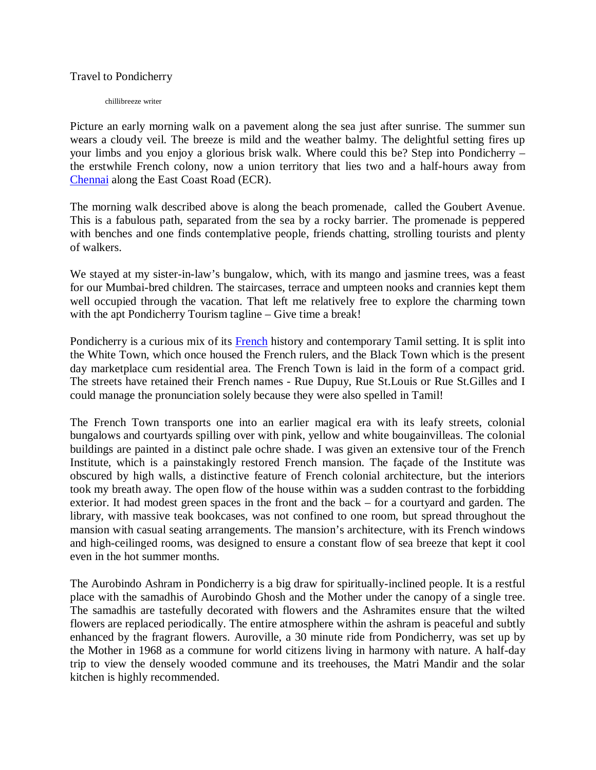Travel to Pondicherry

chillibreeze writer

Picture an early morning walk on a pavement along the sea just after sunrise. The summer sun wears a cloudy veil. The breeze is mild and the weather balmy. The delightful setting fires up your limbs and you enjoy a glorious brisk walk. Where could this be? Step into Pondicherry – the erstwhile French colony, now a union territory that lies two and a half-hours away from Chennai along the East Coast Road (ECR).

The morning walk described above is along the beach promenade, called the Goubert Avenue. This is a fabulous path, separated from the sea by a rocky barrier. The promenade is peppered with benches and one finds contemplative people, friends chatting, strolling tourists and plenty of walkers.

We stayed at my sister-in-law's bungalow, which, with its mango and jasmine trees, was a feast for our Mumbai-bred children. The staircases, terrace and umpteen nooks and crannies kept them well occupied through the vacation. That left me relatively free to explore the charming town with the apt Pondicherry Tourism tagline – Give time a break!

Pondicherry is a curious mix of its **French** history and contemporary Tamil setting. It is split into the White Town, which once housed the French rulers, and the Black Town which is the present day marketplace cum residential area. The French Town is laid in the form of a compact grid. The streets have retained their French names - Rue Dupuy, Rue St.Louis or Rue St.Gilles and I could manage the pronunciation solely because they were also spelled in Tamil!

The French Town transports one into an earlier magical era with its leafy streets, colonial bungalows and courtyards spilling over with pink, yellow and white bougainvilleas. The colonial buildings are painted in a distinct pale ochre shade. I was given an extensive tour of the French Institute, which is a painstakingly restored French mansion. The façade of the Institute was obscured by high walls, a distinctive feature of French colonial architecture, but the interiors took my breath away. The open flow of the house within was a sudden contrast to the forbidding exterior. It had modest green spaces in the front and the back – for a courtyard and garden. The library, with massive teak bookcases, was not confined to one room, but spread throughout the mansion with casual seating arrangements. The mansion's architecture, with its French windows and high-ceilinged rooms, was designed to ensure a constant flow of sea breeze that kept it cool even in the hot summer months.

The Aurobindo Ashram in Pondicherry is a big draw for spiritually-inclined people. It is a restful place with the samadhis of Aurobindo Ghosh and the Mother under the canopy of a single tree. The samadhis are tastefully decorated with flowers and the Ashramites ensure that the wilted flowers are replaced periodically. The entire atmosphere within the ashram is peaceful and subtly enhanced by the fragrant flowers. Auroville, a 30 minute ride from Pondicherry, was set up by the Mother in 1968 as a commune for world citizens living in harmony with nature. A half-day trip to view the densely wooded commune and its treehouses, the Matri Mandir and the solar kitchen is highly recommended.